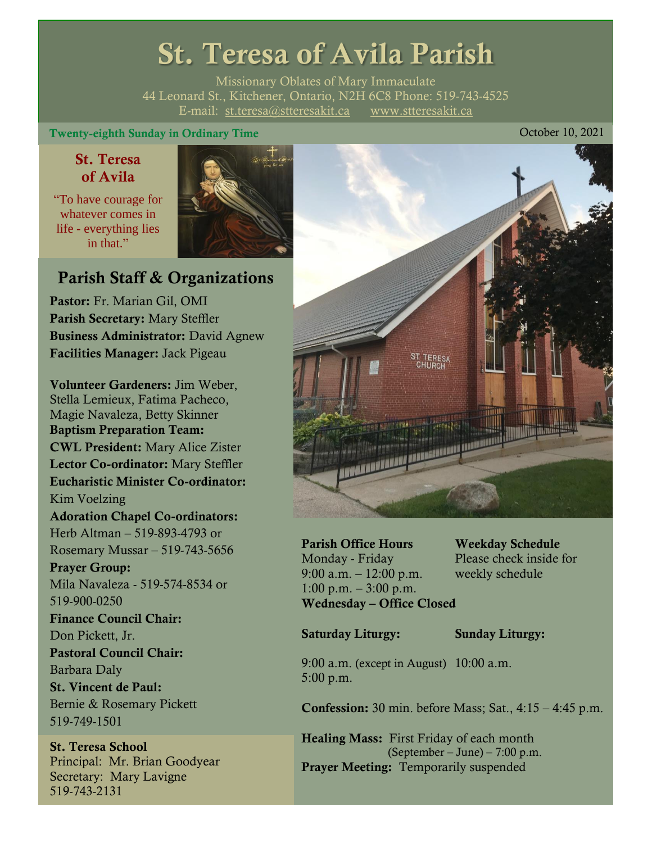# St. Teresa of Avila Parish

Missionary Oblates of Mary Immaculate 44 Leonard St., Kitchener, Ontario, N2H 6C8 Phone: 519-743-4525 E-mail: [st.teresa@stteresakit.ca](mailto:st.teresa@stteresakit.ca) [www.stteresakit.ca](http://www.stteresakit.ca/)

#### Twenty-eighth Sunday in Ordinary Time Contract Contract Contract Contract Contract Contract Contract Contract Contract Contract Contract Contract Contract Contract Contract Contract Contract Contract Contract Contract Cont

#### St. Teresa of Avila

"To have courage for whatever comes in life - everything lies in that"



## Parish Staff & Organizations

Pastor: Fr. Marian Gil, OMI Parish Secretary: Mary Steffler Business Administrator: David Agnew Facilities Manager: Jack Pigeau

Volunteer Gardeners: Jim Weber, Stella Lemieux, Fatima Pacheco, Magie Navaleza, Betty Skinner Baptism Preparation Team: CWL President: Mary Alice Zister Lector Co-ordinator: Mary Steffler Eucharistic Minister Co-ordinator: Kim Voelzing Adoration Chapel Co-ordinators: Herb Altman – 519-893-4793 or Rosemary Mussar – 519-743-5656 Prayer Group: Mila Navaleza - 519-574-8534 or 519-900-0250 Finance Council Chair: Don Pickett, Jr. Pastoral Council Chair: Barbara Daly St. Vincent de Paul: Bernie & Rosemary Pickett 519-749-1501

St. Teresa School Principal: Mr. Brian Goodyear Secretary: Mary Lavigne 519-743-2131



Parish Office Hours Weekday Schedule Monday - Friday Please check inside for 9:00 a.m. – 12:00 p.m. weekly schedule  $1:00 \text{ p.m.} - 3:00 \text{ p.m.}$ Wednesday – Office Closed

Saturday Liturgy: Sunday Liturgy:

9:00 a.m. (except in August) 10:00 a.m. 5:00 p.m.

Confession: 30 min. before Mass; Sat., 4:15 – 4:45 p.m.

Healing Mass: First Friday of each month (September – June) – 7:00 p.m. Prayer Meeting: Temporarily suspended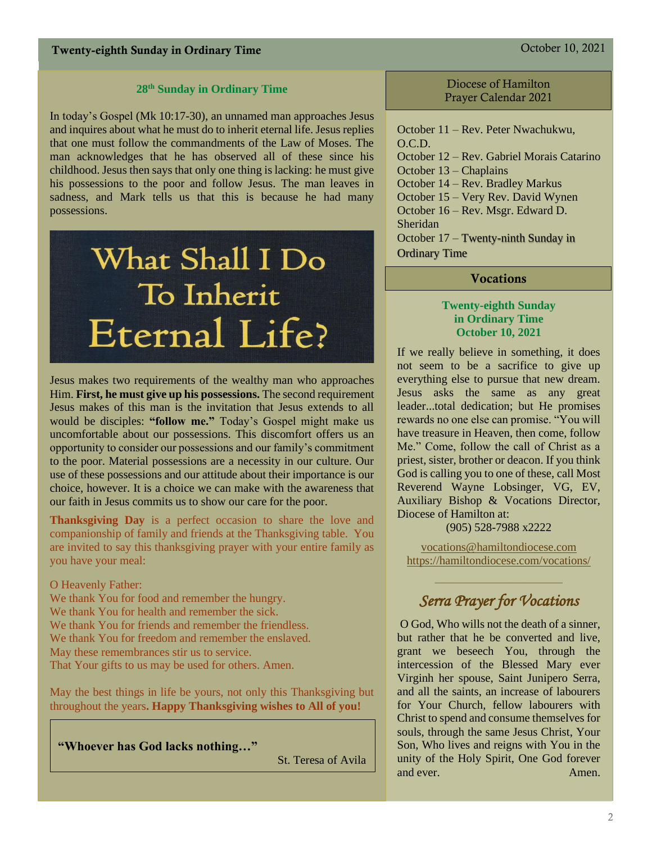#### **28 th Sunday in Ordinary Time**

In today's Gospel (Mk 10:17-30), an unnamed man approaches Jesus and inquires about what he must do to inherit eternal life. Jesus replies that one must follow the commandments of the Law of Moses. The man acknowledges that he has observed all of these since his childhood. Jesus then says that only one thing is lacking: he must give his possessions to the poor and follow Jesus. The man leaves in sadness, and Mark tells us that this is because he had many possessions.

# What Shall I Do To Inherit **Eternal Life?**

Jesus makes two requirements of the wealthy man who approaches Him. **First, he must give up his possessions.** The second requirement Jesus makes of this man is the invitation that Jesus extends to all would be disciples: **"follow me."** Today's Gospel might make us uncomfortable about our possessions. This discomfort offers us an opportunity to consider our possessions and our family's commitment to the poor. Material possessions are a necessity in our culture. Our use of these possessions and our attitude about their importance is our choice, however. It is a choice we can make with the awareness that our faith in Jesus commits us to show our care for the poor.

**Thanksgiving Day** is a perfect occasion to share the love and companionship of family and friends at the Thanksgiving table. You are invited to say this thanksgiving prayer with your entire family as you have your meal:

#### O Heavenly Father:

We thank You for food and remember the hungry. We thank You for health and remember the sick. We thank You for friends and remember the friendless. We thank You for freedom and remember the enslaved. May these remembrances stir us to service. That Your gifts to us may be used for others. Amen.

May the best things in life be yours, not only this Thanksgiving but throughout the years**. Happy Thanksgiving wishes to All of you!**

**"Whoever has God lacks nothing…"**

St. Teresa of Avila

#### Diocese of Hamilton Prayer Calendar 2021

October 11 – Rev. Peter Nwachukwu, O.C.D. October 12 – Rev. Gabriel Morais Catarino October 13 – Chaplains October 14 – Rev. Bradley Markus October 15 – Very Rev. David Wynen October 16 – Rev. Msgr. Edward D. Sheridan October 17 – Twenty-ninth Sunday in Ordinary Time

#### **Vocations**

#### **Twenty-eighth Sunday in Ordinary Time October 10, 2021**

If we really believe in something, it does not seem to be a sacrifice to give up everything else to pursue that new dream. Jesus asks the same as any great leader...total dedication; but He promises rewards no one else can promise. "You will have treasure in Heaven, then come, follow Me." Come, follow the call of Christ as a priest, sister, brother or deacon. If you think God is calling you to one of these, call Most Reverend Wayne Lobsinger, VG, EV, Auxiliary Bishop & Vocations Director, Diocese of Hamilton at:

(905) 528-7988 x2222

[vocations@hamiltondiocese.com](mailto:vocations@hamiltondiocese.com)  <https://hamiltondiocese.com/vocations/>

# *Serra Prayer for Vocations*

O God, Who wills not the death of a sinner, but rather that he be converted and live, grant we beseech You, through the intercession of the Blessed Mary ever Virginh her spouse, Saint Junipero Serra, and all the saints, an increase of labourers for Your Church, fellow labourers with Christ to spend and consume themselves for souls, through the same Jesus Christ, Your Son, Who lives and reigns with You in the unity of the Holy Spirit, One God forever and ever.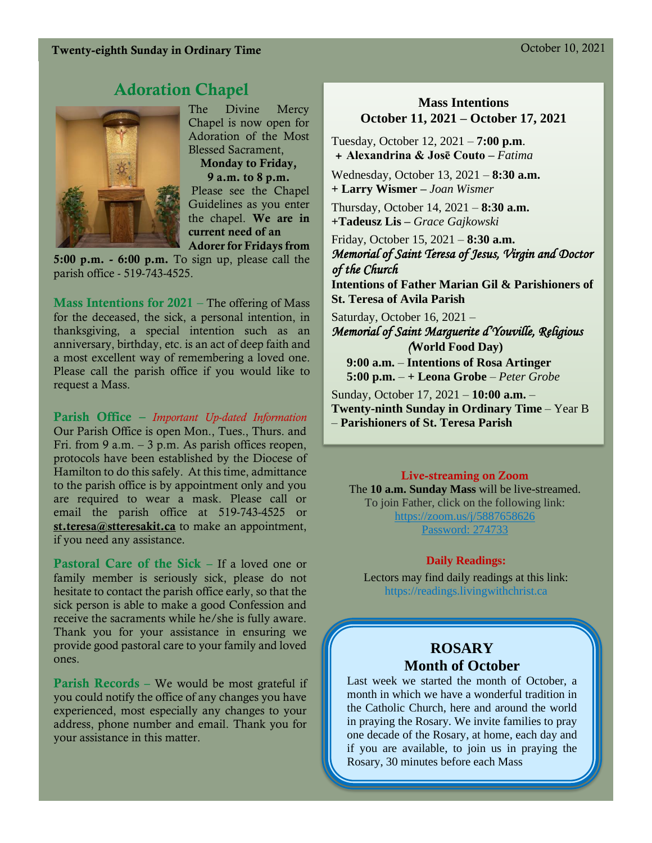#### Twenty-eighth Sunday in Ordinary Time Contract Contract Contract Contract Contract Contract Contract Contract Contract Contract Contract Contract Contract Contract Contract Contract Contract Contract Contract Contract Cont

# Adoration Chapel



The Divine Mercy Chapel is now open for Adoration of the Most Blessed Sacrament, Monday to Friday,

9 a.m. to 8 p.m. Please see the Chapel Guidelines as you enter the chapel. We are in current need of an Adorer for Fridays from

5:00 p.m. - 6:00 p.m. To sign up, please call the parish office - 519-743-4525.

**Mass Intentions for 2021** – The offering of Mass for the deceased, the sick, a personal intention, in thanksgiving, a special intention such as an anniversary, birthday, etc. is an act of deep faith and a most excellent way of remembering a loved one. Please call the parish office if you would like to request a Mass.

Parish Office – *Important Up-dated Information*  Our Parish Office is open Mon., Tues., Thurs. and Fri. from 9 a.m. – 3 p.m. As parish offices reopen, protocols have been established by the Diocese of Hamilton to do this safely. At this time, admittance to the parish office is by appointment only and you are required to wear a mask. Please call or email the parish office at 519-743-4525 or [st.teresa@stteresakit.ca](mailto:st.teresa@stteresakit.ca) to make an appointment, if you need any assistance.

Pastoral Care of the Sick – If a loved one or family member is seriously sick, please do not hesitate to contact the parish office early, so that the sick person is able to make a good Confession and receive the sacraments while he/she is fully aware. Thank you for your assistance in ensuring we provide good pastoral care to your family and loved ones.

Parish Records – We would be most grateful if you could notify the office of any changes you have experienced, most especially any changes to your address, phone number and email. Thank you for your assistance in this matter.

#### **Mass Intentions October 11, 2021 – October 17, 2021**

Tuesday, October 12, 2021 – **7:00 p.m**. *+* **Alexandrina & Josē Couto –** *Fatima*

Wednesday, October 13, 2021 – **8:30 a.m. + Larry Wismer –** *Joan Wismer*

Thursday, October 14, 2021 – **8:30 a.m. +Tadeusz Lis –** *Grace Gajkowski*

Friday, October 15, 2021 – **8:30 a.m.**  *Memorial of Saint Teresa of Jesus, Virgin and Doctor of the Church* 

**Intentions of Father Marian Gil & Parishioners of St. Teresa of Avila Parish**

Saturday, October 16, 2021 – *Memorial of Saint Marguerite d'Youville, Religious (***World Food Day)**

 **9:00 a.m.** – **Intentions of Rosa Artinger 5:00 p.m.** – **+ Leona Grobe** – *Peter Grobe*

Sunday, October 17, 2021 – **10:00 a.m.** – **Twenty-ninth Sunday in Ordinary Time** – Year B – **Parishioners of St. Teresa Parish** 

#### Live-streaming on Zoom

The **10 a.m. Sunday Mass** will be live-streamed. To join Father, click on the following link: <https://zoom.us/j/5887658626> Password: 274733

#### **Daily Readings:**

Lectors may find daily readings at this link: https://readings.livingwithchrist.ca

#### **ROSARY Month of October**

Last week we started the month of October, a month in which we have a wonderful tradition in the Catholic Church, here and around the world in praying the Rosary. We invite families to pray one decade of the Rosary, at home, each day and if you are available, to join us in praying the Rosary, 30 minutes before each Mass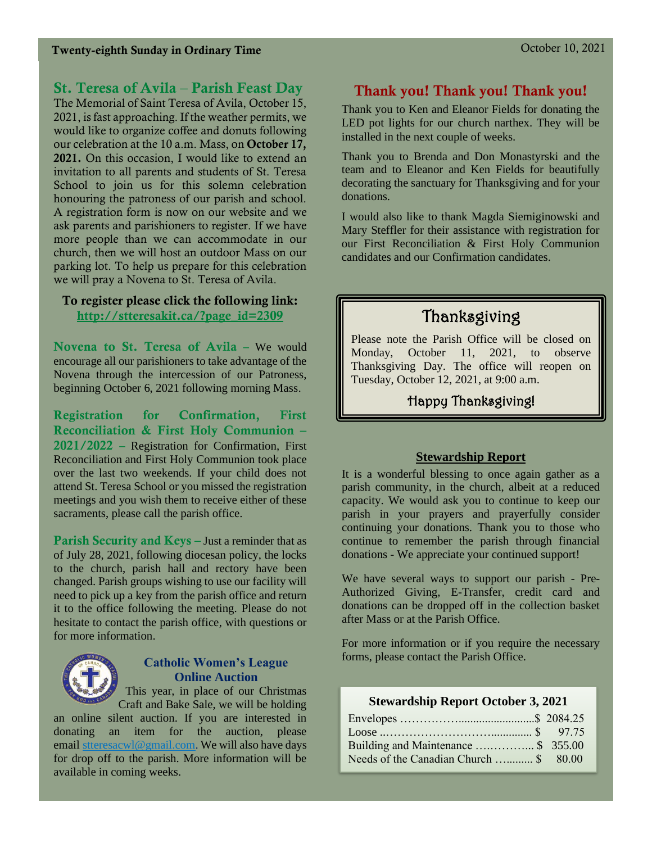### St. Teresa of Avila – Parish Feast Day

The Memorial of Saint Teresa of Avila, October 15, 2021, is fast approaching. If the weather permits, we would like to organize coffee and donuts following our celebration at the 10 a.m. Mass, on October 17, 2021. On this occasion, I would like to extend an invitation to all parents and students of St. Teresa School to join us for this solemn celebration honouring the patroness of our parish and school. A registration form is now on our website and we ask parents and parishioners to register. If we have more people than we can accommodate in our church, then we will host an outdoor Mass on our parking lot. To help us prepare for this celebration we will pray a Novena to St. Teresa of Avila.

#### To register please click the following link: [http://stteresakit.ca/?page\\_id=2309](http://stteresakit.ca/?page_id=2309)

Novena to St. Teresa of Avila – We would encourage all our parishioners to take advantage of the Novena through the intercession of our Patroness, beginning October 6, 2021 following morning Mass.

Registration for Confirmation, First Reconciliation & First Holy Communion – 2021/2022 – Registration for Confirmation, First Reconciliation and First Holy Communion took place over the last two weekends. If your child does not attend St. Teresa School or you missed the registration meetings and you wish them to receive either of these sacraments, please call the parish office.

Parish Security and Keys – Just a reminder that as of July 28, 2021, following diocesan policy, the locks to the church, parish hall and rectory have been changed. Parish groups wishing to use our facility will need to pick up a key from the parish office and return it to the office following the meeting. Please do not hesitate to contact the parish office, with questions or for more information.



#### **Catholic Women's League Online Auction**

This year, in place of our Christmas

Craft and Bake Sale, we will be holding an online silent auction. If you are interested in donating an item for the auction, please email [stteresacwl@gmail.com.](mailto:stteresacwl@gmail.com) We will also have days for drop off to the parish. More information will be available in coming weeks.

### Thank you! Thank you! Thank you!

Thank you to Ken and Eleanor Fields for donating the LED pot lights for our church narthex. They will be installed in the next couple of weeks.

Thank you to Brenda and Don Monastyrski and the team and to Eleanor and Ken Fields for beautifully decorating the sanctuary for Thanksgiving and for your donations.

I would also like to thank Magda Siemiginowski and Mary Steffler for their assistance with registration for our First Reconciliation & First Holy Communion candidates and our Confirmation candidates.

# Thanksgiving

Please note the Parish Office will be closed on Monday, October 11, 2021, to observe Thanksgiving Day. The office will reopen on Tuesday, October 12, 2021, at 9:00 a.m.

Happy Thanksgiving!

#### **Stewardship Report**

It is a wonderful blessing to once again gather as a parish community, in the church, albeit at a reduced capacity. We would ask you to continue to keep our parish in your prayers and prayerfully consider continuing your donations. Thank you to those who continue to remember the parish through financial donations - We appreciate your continued support!

We have several ways to support our parish - Pre-Authorized Giving, E-Transfer, credit card and donations can be dropped off in the collection basket after Mass or at the Parish Office.

For more information or if you require the necessary forms, please contact the Parish Office.

#### **Stewardship Report October 3, 2021**

| Building and Maintenance \$ 355.00     |  |
|----------------------------------------|--|
| Needs of the Canadian Church  \$ 80.00 |  |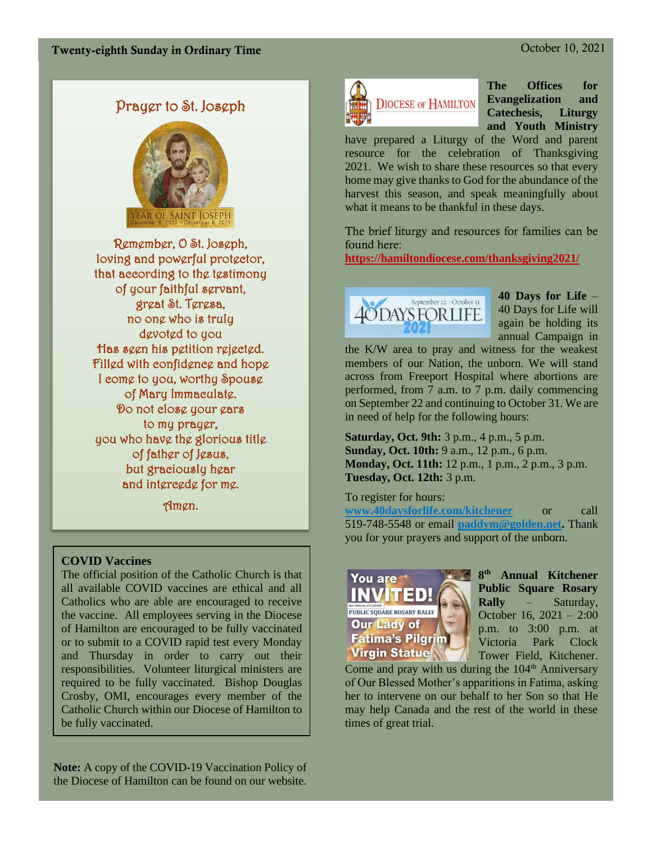# Prayer to St. Joseph



Remember, O St. Joseph, loving and powerful protector, that according to the testimony of your faithful servant, great St. Teresa, no one who is truly devoted to you Has seen his petition rejected. Filled with confidence and hope I come to you, worthy Spouse of Mary Immaculate. Do not close your ears to my prayer, you who have the glorious title of father of Jesus, but graciously hear and intercede for me.

Amen.

#### **COVID Vaccines**

The official position of the Catholic Church is that all available COVID vaccines are ethical and all Catholics who are able are encouraged to receive the vaccine. All employees serving in the Diocese of Hamilton are encouraged to be fully vaccinated or to submit to a COVID rapid test every Monday and Thursday in order to carry out their responsibilities. Volunteer liturgical ministers are required to be fully vaccinated. Bishop Douglas Crosby, OMI, encourages every member of the Catholic Church within our Diocese of Hamilton to be fully vaccinated.

**Note:** A copy of the COVID-19 Vaccination Policy of the Diocese of Hamilton can be found on our website.



**The Offices for Evangelization and Catechesis, Liturgy and Youth Ministry**

have prepared a Liturgy of the Word and parent resource for the celebration of Thanksgiving 2021. We wish to share these resources so that every home may give thanks to God for the abundance of the harvest this season, and speak meaningfully about what it means to be thankful in these days.

The brief liturgy and resources for families can be found here:

**<https://hamiltondiocese.com/thanksgiving2021/>**



**40 Days for Life** – 40 Days for Life will again be holding its annual Campaign in

the K/W area to pray and witness for the weakest members of our Nation, the unborn. We will stand across from Freeport Hospital where abortions are performed, from 7 a.m. to 7 p.m. daily commencing on September 22 and continuing to October 31. We are in need of help for the following hours:

**Saturday, Oct. 9th:** 3 p.m., 4 p.m., 5 p.m. **Sunday, Oct. 10th:** 9 a.m., 12 p.m., 6 p.m. **Monday, Oct. 11th:** 12 p.m., 1 p.m., 2 p.m., 3 p.m. **Tuesday, Oct. 12th:** 3 p.m.

To register for hours:

**[www.40daysforlife.com/kitchener](http://www.40daysforlife.com/kitchener)** or call 519-748-5548 or email **[paddym@golden.net.](mailto:paddym@golden.net)** Thank you for your prayers and support of the unborn.



**8 th Annual Kitchener Public Square Rosary Rally** – Saturday, October 16, 2021 – 2:00 p.m. to 3:00 p.m. at Victoria Park Clock Tower Field, Kitchener.

Come and pray with us during the  $104<sup>th</sup>$  Anniversary of Our Blessed Mother's apparitions in Fatima, asking her to intervene on our behalf to her Son so that He may help Canada and the rest of the world in these times of great trial.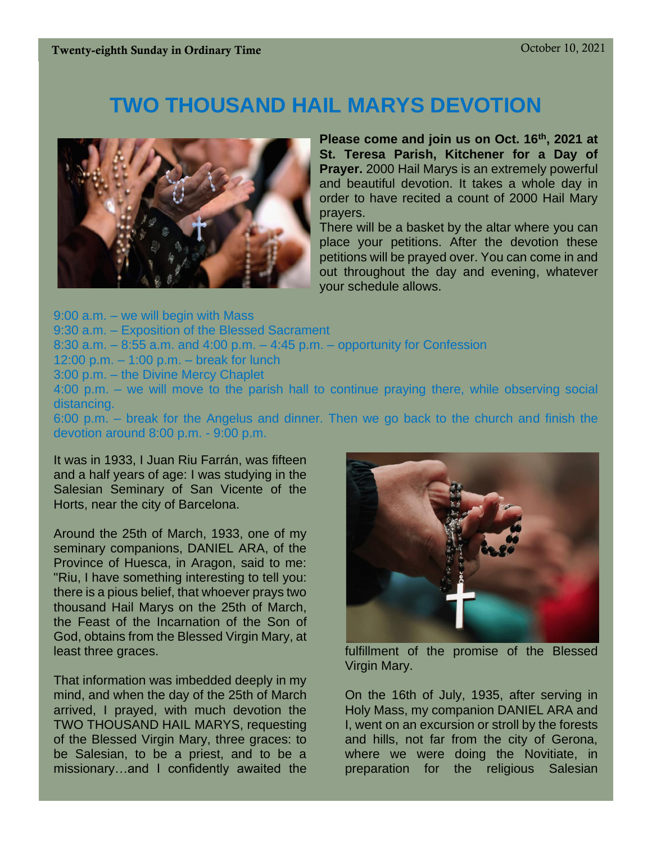# **TWO THOUSAND HAIL MARYS DEVOTION**



**Please come and join us on Oct. 16th, 2021 at St. Teresa Parish, Kitchener for a Day of Prayer.** 2000 Hail Marys is an extremely powerful and beautiful devotion. It takes a whole day in order to have recited a count of 2000 Hail Mary prayers.

There will be a basket by the altar where you can place your petitions. After the devotion these petitions will be prayed over. You can come in and out throughout the day and evening, whatever your schedule allows.

9:00 a.m. – we will begin with Mass 9:30 a.m. – Exposition of the Blessed Sacrament 8:30 a.m. – 8:55 a.m. and 4:00 p.m. – 4:45 p.m. – opportunity for Confession 12:00 p.m. – 1:00 p.m. – break for lunch 3:00 p.m. – the Divine Mercy Chaplet 4:00 p.m. – we will move to the parish hall to continue praying there, while observing social distancing.

6:00 p.m. – break for the Angelus and dinner. Then we go back to the church and finish the devotion around 8:00 p.m. - 9:00 p.m.

It was in 1933, I Juan Riu Farrán, was fifteen and a half years of age: I was studying in the Salesian Seminary of San Vicente of the Horts, near the city of Barcelona.

Around the 25th of March, 1933, one of my seminary companions, DANIEL ARA, of the Province of Huesca, in Aragon, said to me: "Riu, I have something interesting to tell you: there is a pious belief, that whoever prays two thousand Hail Marys on the 25th of March, the Feast of the Incarnation of the Son of God, obtains from the Blessed Virgin Mary, at least three graces.

That information was imbedded deeply in my mind, and when the day of the 25th of March arrived, I prayed, with much devotion the TWO THOUSAND HAIL MARYS, requesting of the Blessed Virgin Mary, three graces: to be Salesian, to be a priest, and to be a missionary…and I confidently awaited the



fulfillment of the promise of the Blessed Virgin Mary.

On the 16th of July, 1935, after serving in Holy Mass, my companion DANIEL ARA and I, went on an excursion or stroll by the forests and hills, not far from the city of Gerona, where we were doing the Novitiate, in preparation for the religious Salesian